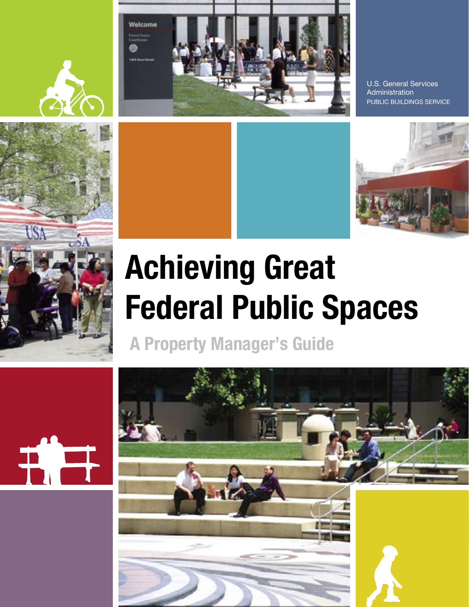



U.S. General Services **Administration** PUBLIC BUILDINGS SERVICE





# **Achieving Great Federal Public Spaces**

**A Property Manager's Guide**



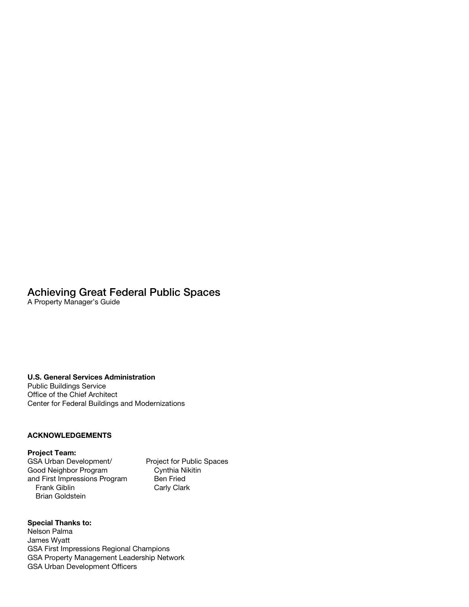### Achieving Great Federal Public Spaces

A Property Manager's Guide

**U.S. General Services Administration** Public Buildings Service Office of the Chief Architect Center for Federal Buildings and Modernizations

#### **ACKNOWLEDGEMENTS**

**Project Team:**  GSA Urban Development/ Good Neighbor Program and First Impressions Program Frank Giblin Brian Goldstein

Project for Public Spaces Cynthia Nikitin Ben Fried Carly Clark

**Special Thanks to:**  Nelson Palma James Wyatt GSA First Impressions Regional Champions GSA Property Management Leadership Network GSA Urban Development Officers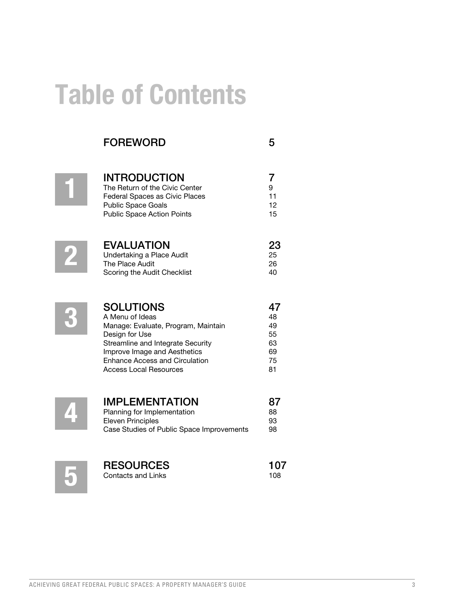# **Table of Contents**

| <b>FOREWORD</b>                                                                                                                                                                                                                      | 5                                            |
|--------------------------------------------------------------------------------------------------------------------------------------------------------------------------------------------------------------------------------------|----------------------------------------------|
| <b>INTRODUCTION</b><br>The Return of the Civic Center<br>Federal Spaces as Civic Places<br><b>Public Space Goals</b><br><b>Public Space Action Points</b>                                                                            | 7<br>9<br>11<br>12<br>15                     |
| <b>EVALUATION</b><br>Undertaking a Place Audit<br>The Place Audit<br>Scoring the Audit Checklist                                                                                                                                     | 23<br>25<br>26<br>40                         |
| <b>SOLUTIONS</b><br>A Menu of Ideas<br>Manage: Evaluate, Program, Maintain<br>Design for Use<br>Streamline and Integrate Security<br>Improve Image and Aesthetics<br><b>Enhance Access and Circulation</b><br>Access Local Resources | 47<br>48<br>49<br>55<br>63<br>69<br>75<br>81 |
| <b>IMPLEMENTATION</b><br>Planning for Implementation<br><b>Eleven Principles</b><br>Case Studies of Public Space Improvements                                                                                                        | 87<br>88<br>93<br>98                         |
| <b>RESOURCES</b><br><b>Contacts and Links</b>                                                                                                                                                                                        | 107<br>108                                   |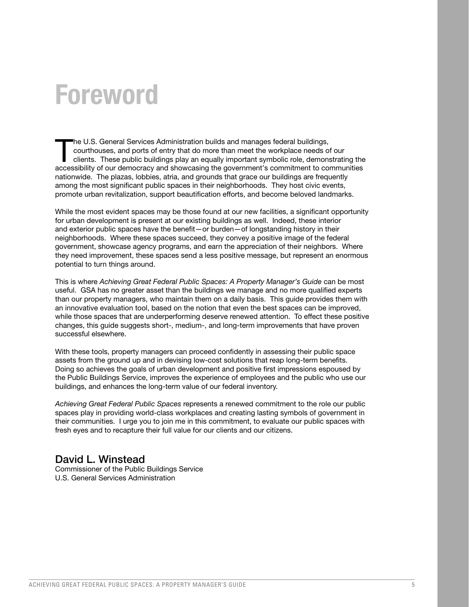# **Foreword**

The U.S. General Services Administration builds and manages federal buildings,<br>courthouses, and ports of entry that do more than meet the workplace needs of<br>clients. These public buildings play an equally important symboli courthouses, and ports of entry that do more than meet the workplace needs of our clients. These public buildings play an equally important symbolic role, demonstrating the accessibility of our democracy and showcasing the government's commitment to communities nationwide. The plazas, lobbies, atria, and grounds that grace our buildings are frequently among the most significant public spaces in their neighborhoods. They host civic events, promote urban revitalization, support beautification efforts, and become beloved landmarks.

While the most evident spaces may be those found at our new facilities, a significant opportunity for urban development is present at our existing buildings as well. Indeed, these interior and exterior public spaces have the benefit—or burden—of longstanding history in their neighborhoods. Where these spaces succeed, they convey a positive image of the federal government, showcase agency programs, and earn the appreciation of their neighbors. Where they need improvement, these spaces send a less positive message, but represent an enormous potential to turn things around.

This is where *Achieving Great Federal Public Spaces: A Property Manager's Guide* can be most useful. GSA has no greater asset than the buildings we manage and no more qualified experts than our property managers, who maintain them on a daily basis. This guide provides them with an innovative evaluation tool, based on the notion that even the best spaces can be improved, while those spaces that are underperforming deserve renewed attention. To effect these positive changes, this guide suggests short-, medium-, and long-term improvements that have proven successful elsewhere.

With these tools, property managers can proceed confidently in assessing their public space assets from the ground up and in devising low-cost solutions that reap long-term benefits. Doing so achieves the goals of urban development and positive first impressions espoused by the Public Buildings Service, improves the experience of employees and the public who use our buildings, and enhances the long-term value of our federal inventory.

*Achieving Great Federal Public Spaces* represents a renewed commitment to the role our public spaces play in providing world-class workplaces and creating lasting symbols of government in their communities. I urge you to join me in this commitment, to evaluate our public spaces with fresh eyes and to recapture their full value for our clients and our citizens.

#### David L. Winstead

Commissioner of the Public Buildings Service U.S. General Services Administration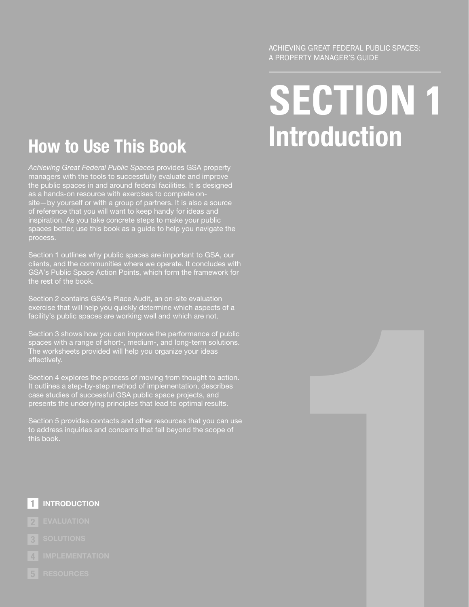**SOLUTE: ISON: ISON: ISON: ISON: ISON: ISON: ISON: ISON: ISON: ISON: ISON: ISON: ISON: ISON: ISON: ISON: ISON: I<br>SOLUTE: With exercises to complete on:<br>SOLUTE: ISON: ISON: ISON: ISON: ISON: ISON: ISON: ISON: ISON: ISON: IS** or relefence that you will want to keep handy for ideas and<br>inspiration. As you take concrete steps to make your public *Achieving Great Federal Public Spaces* provides GSA property managers with the tools to successfully evaluate and improve the public spaces in and around federal facilities. It is designed as a hands-on resource with exercises to complete onsite—by yourself or with a group of partners. It is also a source of reference that you will want to keep handy for ideas and spaces better, use this book as a guide to help you navigate the process.

Section 1 outlines why public spaces are important to GSA, our clients, and the communities where we operate. It concludes with GSA's Public Space Action Points, which form the framework for and communities feel about feel about feel about federal spaces in a  $30$ the rest of the book.

Section 2 contains GSA's Place Audit, an on-site evaluation exercise that will help you quickly determine which aspects of a facility's public spaces are working well and which are not.

Section 3 shows how you can improve the performance of public spaces with a range of short-, medium-, and long-term solutions. The worksheets provided will help you organize your ideas effectively.

Section 4 explores the process of moving from thought to action. It outlines a step-by-step method of implementation, describes case studies of successful GSA public space projects, and presents the underlying principles that lead to optimal results.

Section 5 provides contacts and other resources that you can use to address inquiries and concerns that fall beyond the scope of this book.

#### ACHIEVING GREAT FEDERAL PUBLIC SPACES: A PROPERTY MANAGER'S GUIDE

# <span id="page-8-0"></span>**SECTION 33**<br> **SECTION**<br> **SECTION 33 SECTION 1**

**INTRODUCTION 1**

- **EVALUATION 2**
- 
- **IMPLEMENTATION 4**
-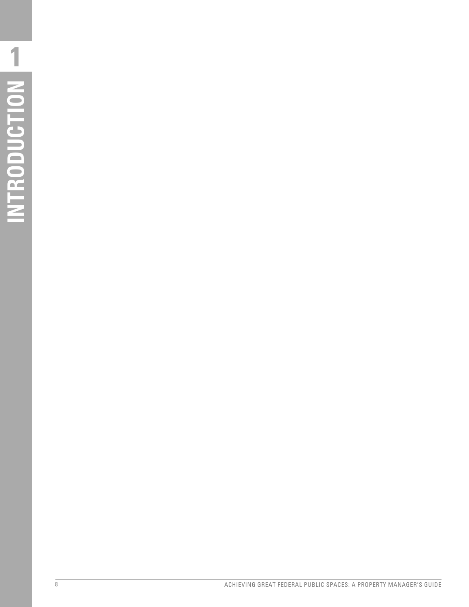# **1 2 3INTRODUCTION**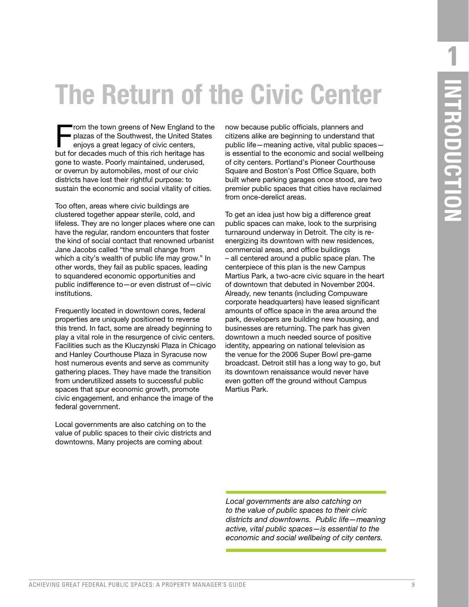# <span id="page-10-0"></span>**The Return of the Civic Center**

From the town greens of New England to the<br>plazas of the Southwest, the United States<br>enjoys a great legacy of civic centers, plazas of the Southwest, the United States enjoys a great legacy of civic centers, but for decades much of this rich heritage has gone to waste. Poorly maintained, underused, or overrun by automobiles, most of our civic districts have lost their rightful purpose: to sustain the economic and social vitality of cities.

Too often, areas where civic buildings are clustered together appear sterile, cold, and lifeless. They are no longer places where one can have the regular, random encounters that foster the kind of social contact that renowned urbanist Jane Jacobs called "the small change from which a city's wealth of public life may grow." In other words, they fail as public spaces, leading to squandered economic opportunities and public indifference to—or even distrust of—civic institutions.

Frequently located in downtown cores, federal properties are uniquely positioned to reverse this trend. In fact, some are already beginning to play a vital role in the resurgence of civic centers. Facilities such as the Kluczynski Plaza in Chicago and Hanley Courthouse Plaza in Syracuse now host numerous events and serve as community gathering places. They have made the transition from underutilized assets to successful public spaces that spur economic growth, promote civic engagement, and enhance the image of the federal government.

Local governments are also catching on to the value of public spaces to their civic districts and downtowns. Many projects are coming about

now because public officials, planners and citizens alike are beginning to understand that public life—meaning active, vital public spaces is essential to the economic and social wellbeing of city centers. Portland's Pioneer Courthouse Square and Boston's Post Office Square, both built where parking garages once stood, are two premier public spaces that cities have reclaimed from once-derelict areas.

To get an idea just how big a difference great public spaces can make, look to the surprising turnaround underway in Detroit. The city is reenergizing its downtown with new residences, commercial areas, and office buildings – all centered around a public space plan. The centerpiece of this plan is the new Campus Martius Park, a two-acre civic square in the heart of downtown that debuted in November 2004. Already, new tenants (including Compuware corporate headquarters) have leased significant amounts of office space in the area around the park, developers are building new housing, and businesses are returning. The park has given downtown a much needed source of positive identity, appearing on national television as the venue for the 2006 Super Bowl pre-game broadcast. Detroit still has a long way to go, but its downtown renaissance would never have even gotten off the ground without Campus Martius Park.

*Local governments are also catching on to the value of public spaces to their civic districts and downtowns. Public life—meaning active, vital public spaces—is essential to the economic and social wellbeing of city centers.*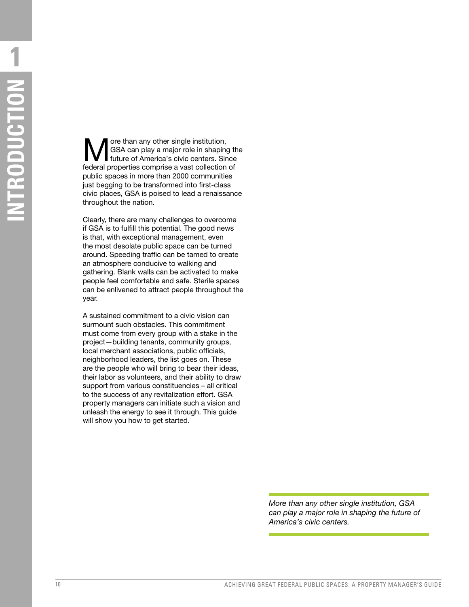<span id="page-11-0"></span>**M** ore than any other single institution,<br>
fusA can play a major role in shaping the future of America's civic centers. Since GSA can play a major role in shaping the federal properties comprise a vast collection of public spaces in more than 2000 communities just begging to be transformed into first-class civic places, GSA is poised to lead a renaissance throughout the nation.

Clearly, there are many challenges to overcome if GSA is to fulfill this potential. The good news is that, with exceptional management, even the most desolate public space can be turned around. Speeding traffic can be tamed to create an atmosphere conducive to walking and gathering. Blank walls can be activated to make people feel comfortable and safe. Sterile spaces can be enlivened to attract people throughout the year.

A sustained commitment to a civic vision can surmount such obstacles. This commitment must come from every group with a stake in the project—building tenants, community groups, local merchant associations, public officials, neighborhood leaders, the list goes on. These are the people who will bring to bear their ideas, their labor as volunteers, and their ability to draw support from various constituencies – all critical to the success of any revitalization effort. GSA property managers can initiate such a vision and unleash the energy to see it through. This guide will show you how to get started.

> *More than any other single institution, GSA can play a major role in shaping the future of America's civic centers.*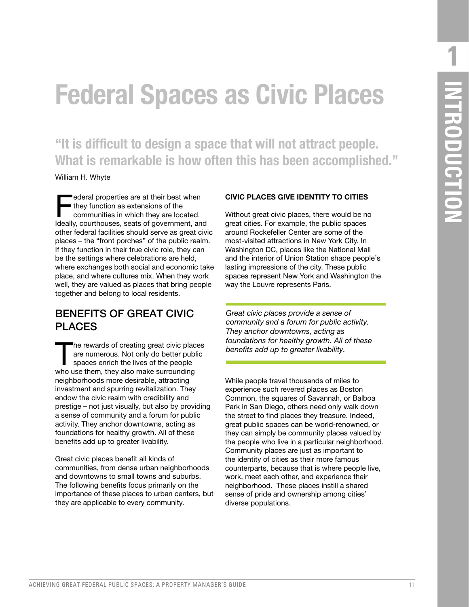# **Federal Spaces as Civic Places**

**"It is difficult to design a space that will not attract people. What is remarkable is how often this has been accomplished."** 

William H. Whyte

ederal properties are at their best when they function as extensions of the communities in which they are located. Ideally, courthouses, seats of government, and other federal facilities should serve as great civic places – the "front porches" of the public realm. If they function in their true civic role, they can be the settings where celebrations are held, where exchanges both social and economic take place, and where cultures mix. When they work well, they are valued as places that bring people together and belong to local residents.

#### BENEFITS OF GREAT CIVIC PLACES

The rewards of creating great civic places are numerous. Not only do better public spaces enrich the lives of the people who use them, they also make surrounding neighborhoods more desirable, attracting investment and spurring revitalization. They endow the civic realm with credibility and prestige – not just visually, but also by providing a sense of community and a forum for public activity. They anchor downtowns, acting as foundations for healthy growth. All of these benefits add up to greater livability.

Great civic places benefit all kinds of communities, from dense urban neighborhoods and downtowns to small towns and suburbs. The following benefits focus primarily on the importance of these places to urban centers, but they are applicable to every community.

#### **CIVIC PLACES GIVE IDENTITY TO CITIES**

Without great civic places, there would be no great cities. For example, the public spaces around Rockefeller Center are some of the most-visited attractions in New York City. In Washington DC, places like the National Mall and the interior of Union Station shape people's lasting impressions of the city. These public spaces represent New York and Washington the way the Louvre represents Paris.

*Great civic places provide a sense of community and a forum for public activity. They anchor downtowns, acting as foundations for healthy growth. All of these benefits add up to greater livability.*

While people travel thousands of miles to experience such revered places as Boston Common, the squares of Savannah, or Balboa Park in San Diego, others need only walk down the street to find places they treasure. Indeed, great public spaces can be world-renowned, or they can simply be community places valued by the people who live in a particular neighborhood. Community places are just as important to the identity of cities as their more famous counterparts, because that is where people live, work, meet each other, and experience their neighborhood. These places instill a shared sense of pride and ownership among cities' diverse populations.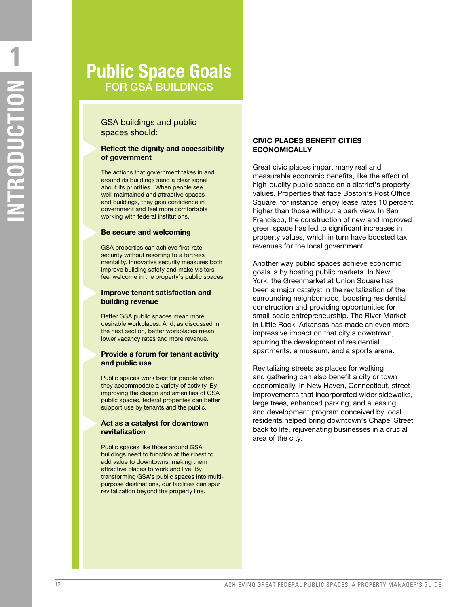## **Public Space Goals** FOR GSA BUILDINGS

**3 CIVIC PLACES BENEFIT CITIES**<br>
Spaces should:<br>
CIVIC PLACES BENEFIT CITIES GSA buildings and public spaces should:

#### **Reflect the dignity and accessibility of government**

The actions that government takes in and around its buildings send a clear signal about its priorities. When people see well-maintained and attractive spaces and buildings, they gain confidence in government and feel more comfortable working with federal institutions.

#### **Be secure and welcoming**

GSA properties can achieve first-rate security without resorting to a fortress mentality. Innovative security measures both improve building safety and make visitors feel welcome in the property's public spaces.

#### **Improve tenant satisfaction and building revenue**

Better GSA public spaces mean more desirable workplaces. And, as discussed in the next section, better workplaces mean lower vacancy rates and more revenue.

#### **Provide a forum for tenant activity and public use**

Public spaces work best for people when they accommodate a variety of activity. By improving the design and amenities of GSA public spaces, federal properties can better support use by tenants and the public.

#### **Act as a catalyst for downtown revitalization**

Public spaces like those around GSA buildings need to function at their best to add value to downtowns, making them attractive places to work and live. By transforming GSA's public spaces into multipurpose destinations, our facilities can spur revitalization beyond the property line.

# **ECONOMICALLY**

Great civic places impart many real and measurable economic benefits, like the effect of high-quality public space on a district's property values. Properties that face Boston's Post Office Square, for instance, enjoy lease rates 10 percent higher than those without a park view. In San Francisco, the construction of new and improved green space has led to significant increases in property values, which in turn have boosted tax revenues for the local government.

Another way public spaces achieve economic goals is by hosting public markets. In New York, the Greenmarket at Union Square has been a major catalyst in the revitalization of the surrounding neighborhood, boosting residential construction and providing opportunities for small-scale entrepreneurship. The River Market in Little Rock, Arkansas has made an even more impressive impact on that city's downtown, spurring the development of residential apartments, a museum, and a sports arena.

Revitalizing streets as places for walking and gathering can also benefit a city or town economically. In New Haven, Connecticut, street improvements that incorporated wider sidewalks, large trees, enhanced parking, and a leasing and development program conceived by local residents helped bring downtown's Chapel Street back to life, rejuvenating businesses in a crucial area of the city.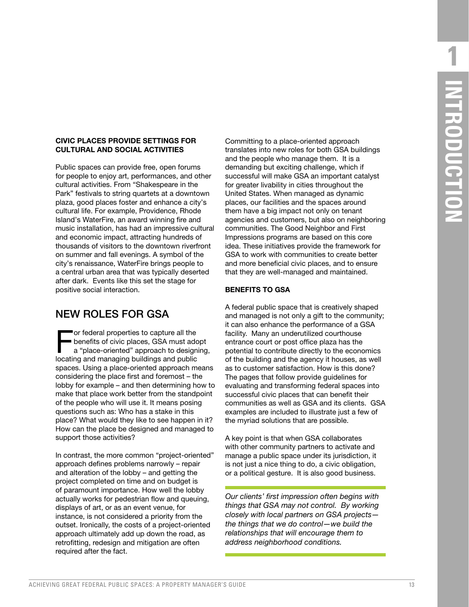#### **CIVIC PLACES PROVIDE SETTINGS FOR CULTURAL AND SOCIAL ACTIVITIES**

Public spaces can provide free, open forums for people to enjoy art, performances, and other cultural activities. From "Shakespeare in the Park" festivals to string quartets at a downtown plaza, good places foster and enhance a city's cultural life. For example, Providence, Rhode Island's WaterFire, an award winning fire and music installation, has had an impressive cultural and economic impact, attracting hundreds of thousands of visitors to the downtown riverfront on summer and fall evenings. A symbol of the city's renaissance, WaterFire brings people to a central urban area that was typically deserted after dark. Events like this set the stage for positive social interaction.

#### NEW ROLES FOR GSA

For federal properties to capture all the<br>
benefits of civic places, GSA must adopt<br>
a "place-oriented" approach to designing,<br>
leasting and more building wilding **benefits of civic places, GSA must adopt** locating and managing buildings and public spaces. Using a place-oriented approach means considering the place first and foremost – the lobby for example – and then determining how to make that place work better from the standpoint of the people who will use it. It means posing questions such as: Who has a stake in this place? What would they like to see happen in it? How can the place be designed and managed to support those activities?

In contrast, the more common "project-oriented" approach defines problems narrowly – repair and alteration of the lobby – and getting the project completed on time and on budget is of paramount importance. How well the lobby actually works for pedestrian flow and queuing, displays of art, or as an event venue, for instance, is not considered a priority from the outset. Ironically, the costs of a project-oriented approach ultimately add up down the road, as retrofitting, redesign and mitigation are often required after the fact.

Committing to a place-oriented approach translates into new roles for both GSA buildings and the people who manage them. It is a demanding but exciting challenge, which if successful will make GSA an important catalyst for greater livability in cities throughout the United States. When managed as dynamic places, our facilities and the spaces around them have a big impact not only on tenant agencies and customers, but also on neighboring communities. The Good Neighbor and First Impressions programs are based on this core idea. These initiatives provide the framework for GSA to work with communities to create better and more beneficial civic places, and to ensure that they are well-managed and maintained.

#### **BENEFITS TO GSA**

A federal public space that is creatively shaped and managed is not only a gift to the community; it can also enhance the performance of a GSA facility. Many an underutilized courthouse entrance court or post office plaza has the potential to contribute directly to the economics of the building and the agency it houses, as well as to customer satisfaction. How is this done? The pages that follow provide guidelines for evaluating and transforming federal spaces into successful civic places that can benefit their communities as well as GSA and its clients. GSA examples are included to illustrate just a few of the myriad solutions that are possible.

A key point is that when GSA collaborates with other community partners to activate and manage a public space under its jurisdiction, it is not just a nice thing to do, a civic obligation, or a political gesture. It is also good business.

*Our clients' first impression often begins with things that GSA may not control. By working closely with local partners on GSA projects the things that we do control—we build the relationships that will encourage them to address neighborhood conditions.*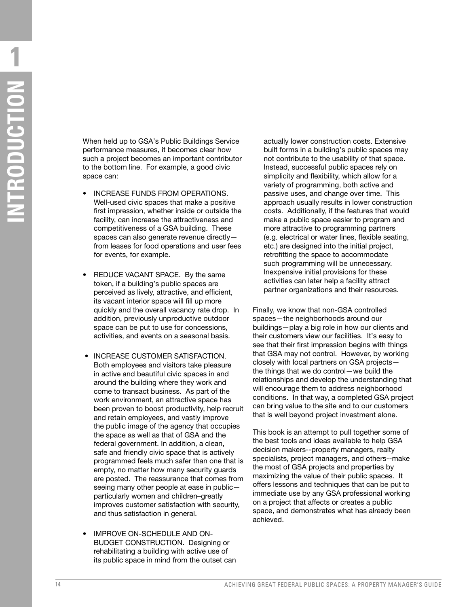When held up to GSA's Public Buildings Service performance measures, it becomes clear how such a project becomes an important contributor to the bottom line. For example, a good civic space can:

- INCREASE FUNDS FROM OPERATIONS. Well-used civic spaces that make a positive first impression, whether inside or outside the facility, can increase the attractiveness and competitiveness of a GSA building. These spaces can also generate revenue directly from leases for food operations and user fees for events, for example.
- REDUCE VACANT SPACE. By the same token, if a building's public spaces are perceived as lively, attractive, and efficient, its vacant interior space will fill up more quickly and the overall vacancy rate drop. In addition, previously unproductive outdoor space can be put to use for concessions, activities, and events on a seasonal basis.
- INCREASE CUSTOMER SATISFACTION. Both employees and visitors take pleasure in active and beautiful civic spaces in and around the building where they work and come to transact business. As part of the work environment, an attractive space has been proven to boost productivity, help recruit and retain employees, and vastly improve the public image of the agency that occupies the space as well as that of GSA and the federal government. In addition, a clean, safe and friendly civic space that is actively programmed feels much safer than one that is empty, no matter how many security guards are posted. The reassurance that comes from seeing many other people at ease in public particularly women and children–greatly improves customer satisfaction with security, and thus satisfaction in general.
- IMPROVE ON-SCHEDULE AND ON-BUDGET CONSTRUCTION. Designing or rehabilitating a building with active use of its public space in mind from the outset can

actually lower construction costs. Extensive built forms in a building's public spaces may not contribute to the usability of that space. Instead, successful public spaces rely on simplicity and flexibility, which allow for a variety of programming, both active and passive uses, and change over time. This approach usually results in lower construction costs. Additionally, if the features that would make a public space easier to program and more attractive to programming partners (e.g. electrical or water lines, flexible seating, etc.) are designed into the initial project, retrofitting the space to accommodate such programming will be unnecessary. Inexpensive initial provisions for these activities can later help a facility attract partner organizations and their resources.

Finally, we know that non-GSA controlled spaces—the neighborhoods around our buildings—play a big role in how our clients and their customers view our facilities. It's easy to see that their first impression begins with things that GSA may not control. However, by working closely with local partners on GSA projects the things that we do control—we build the relationships and develop the understanding that will encourage them to address neighborhood conditions. In that way, a completed GSA project can bring value to the site and to our customers that is well beyond project investment alone.

This book is an attempt to pull together some of the best tools and ideas available to help GSA decision makers--property managers, realty specialists, project managers, and others--make the most of GSA projects and properties by maximizing the value of their public spaces. It offers lessons and techniques that can be put to immediate use by any GSA professional working on a project that affects or creates a public space, and demonstrates what has already been achieved.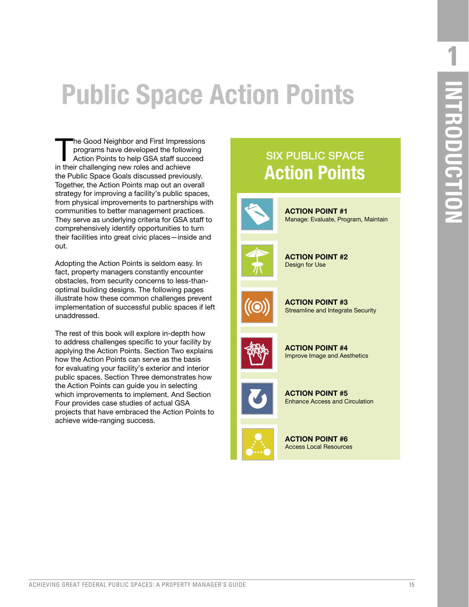# <span id="page-16-0"></span> **Public Space Action Points**

The Good Neighbor and First Impressions<br>programs have developed the following<br>Action Points to help GSA staff succeed<br>in their obligation programs have developed the following Action Points to help GSA staff succeed in their challenging new roles and achieve the Public Space Goals discussed previously. Together, the Action Points map out an overall strategy for improving a facility's public spaces, from physical improvements to partnerships with communities to better management practices. They serve as underlying criteria for GSA staff to comprehensively identify opportunities to turn their facilities into great civic places—inside and out.

Adopting the Action Points is seldom easy. In fact, property managers constantly encounter obstacles, from security concerns to less-thanoptimal building designs. The following pages illustrate how these common challenges prevent implementation of successful public spaces if left unaddressed.

The rest of this book will explore in-depth how to address challenges specific to your facility by applying the Action Points. Section Two explains how the Action Points can serve as the basis for evaluating your facility's exterior and interior public spaces. Section Three demonstrates how the Action Points can guide you in selecting which improvements to implement. And Section Four provides case studies of actual GSA projects that have embraced the Action Points to achieve wide-ranging success.

# SIX PUBLIC SPACE **Action Points**



**ACTION POINT #1** Manage: Evaluate, Program, Maintain



**ACTION POINT #2** Design for Use



**ACTION POINT #3** Streamline and Integrate Security







**ACTION POINT #5** Enhance Access and Circulation



**ACTION POINT #6** Access Local Resources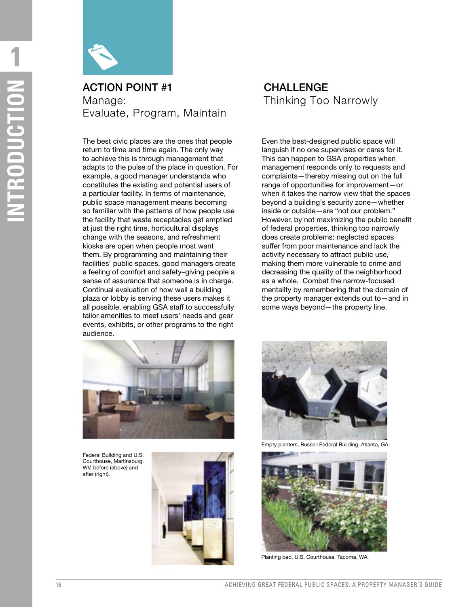

#### ACTION POINT #1 Manage: Evaluate, Program, Maintain

The best civic places are the ones that people return to time and time again. The only way to achieve this is through management that adapts to the pulse of the place in question. For example, a good manager understands who constitutes the existing and potential users of a particular facility. In terms of maintenance, public space management means becoming so familiar with the patterns of how people use the facility that waste receptacles get emptied at just the right time, horticultural displays change with the seasons, and refreshment kiosks are open when people most want them. By programming and maintaining their facilities' public spaces, good managers create a feeling of comfort and safety–giving people a sense of assurance that someone is in charge. Continual evaluation of how well a building plaza or lobby is serving these users makes it all possible, enabling GSA staff to successfully tailor amenities to meet users' needs and gear events, exhibits, or other programs to the right audience.

### CHALLENGE Thinking Too Narrowly

Even the best-designed public space will languish if no one supervises or cares for it. This can happen to GSA properties when management responds only to requests and complaints—thereby missing out on the full range of opportunities for improvement—or when it takes the narrow view that the spaces beyond a building's security zone—whether inside or outside—are "not our problem." However, by not maximizing the public benefit of federal properties, thinking too narrowly does create problems: neglected spaces suffer from poor maintenance and lack the activity necessary to attract public use, making them more vulnerable to crime and decreasing the quality of the neighborhood as a whole. Combat the narrow-focused mentality by remembering that the domain of the property manager extends out to—and in some ways beyond—the property line.



Federal Building and U.S. Courthouse, Martinsburg, WV, before (above) and after (right).





Empty planters, Russell Federal Building, Atlanta, GA.



Planting bed, U.S. Courthouse, Tacoma, WA.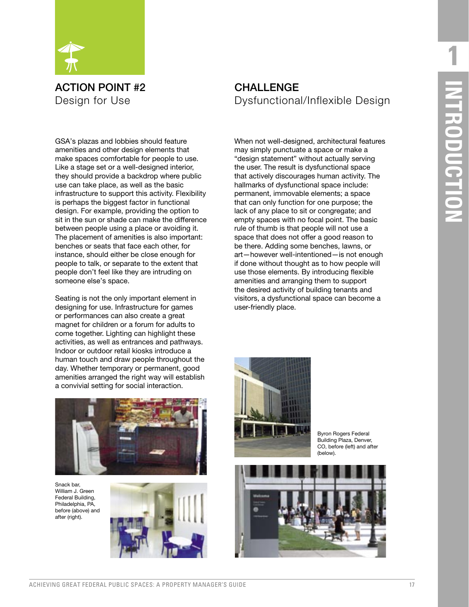

#### ACTION POINT #2 Design for Use

GSA's plazas and lobbies should feature amenities and other design elements that make spaces comfortable for people to use. Like a stage set or a well-designed interior, they should provide a backdrop where public use can take place, as well as the basic infrastructure to support this activity. Flexibility is perhaps the biggest factor in functional design. For example, providing the option to sit in the sun or shade can make the difference between people using a place or avoiding it. The placement of amenities is also important: benches or seats that face each other, for instance, should either be close enough for people to talk, or separate to the extent that people don't feel like they are intruding on someone else's space.

Seating is not the only important element in designing for use. Infrastructure for games or performances can also create a great magnet for children or a forum for adults to come together. Lighting can highlight these activities, as well as entrances and pathways. Indoor or outdoor retail kiosks introduce a human touch and draw people throughout the day. Whether temporary or permanent, good amenities arranged the right way will establish a convivial setting for social interaction.

### CHALLENGE Dysfunctional/Inflexible Design

When not well-designed, architectural features may simply punctuate a space or make a "design statement" without actually serving the user. The result is dysfunctional space that actively discourages human activity. The hallmarks of dysfunctional space include: permanent, immovable elements; a space that can only function for one purpose; the lack of any place to sit or congregate; and empty spaces with no focal point. The basic rule of thumb is that people will not use a space that does not offer a good reason to be there. Adding some benches, lawns, or art—however well-intentioned—is not enough if done without thought as to how people will use those elements. By introducing flexible amenities and arranging them to support the desired activity of building tenants and visitors, a dysfunctional space can become a user-friendly place.



Snack bar, William J. Green Federal Building, Philadelphia, PA, before (above) and after (right).





Byron Rogers Federal Building Plaza, Denver, CO, before (left) and after (below)

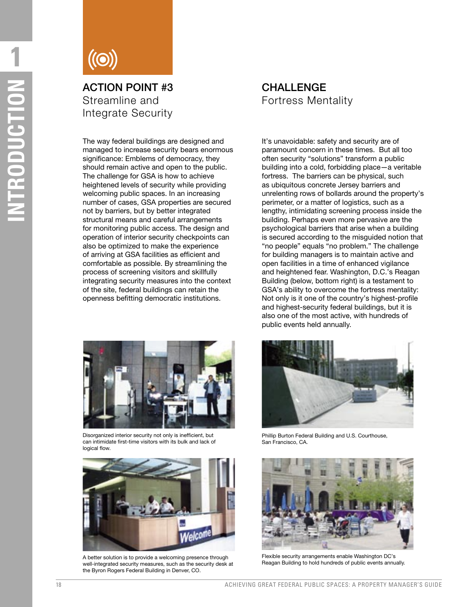

#### ACTION POINT #3 Streamline and Integrate Security

The way federal buildings are designed and managed to increase security bears enormous significance: Emblems of democracy, they should remain active and open to the public. The challenge for GSA is how to achieve heightened levels of security while providing welcoming public spaces. In an increasing number of cases, GSA properties are secured not by barriers, but by better integrated structural means and careful arrangements for monitoring public access. The design and operation of interior security checkpoints can also be optimized to make the experience of arriving at GSA facilities as efficient and comfortable as possible. By streamlining the process of screening visitors and skillfully integrating security measures into the context of the site, federal buildings can retain the openness befitting democratic institutions.



Disorganized interior security not only is inefficient, but can intimidate first-time visitors with its bulk and lack of logical flow.



A better solution is to provide a welcoming presence through well-integrated security measures, such as the security desk at the Byron Rogers Federal Building in Denver, CO.

### CHALLENGE Fortress Mentality

It's unavoidable: safety and security are of paramount concern in these times. But all too often security "solutions" transform a public building into a cold, forbidding place—a veritable fortress. The barriers can be physical, such as ubiquitous concrete Jersey barriers and unrelenting rows of bollards around the property's perimeter, or a matter of logistics, such as a lengthy, intimidating screening process inside the building. Perhaps even more pervasive are the psychological barriers that arise when a building is secured according to the misguided notion that "no people" equals "no problem." The challenge for building managers is to maintain active and open facilities in a time of enhanced vigilance and heightened fear. Washington, D.C.'s Reagan Building (below, bottom right) is a testament to GSA's ability to overcome the fortress mentality: Not only is it one of the country's highest-profile and highest-security federal buildings, but it is also one of the most active, with hundreds of public events held annually.



Phillip Burton Federal Building and U.S. Courthouse, San Francisco, CA.



Flexible security arrangements enable Washington DC's Reagan Building to hold hundreds of public events annually.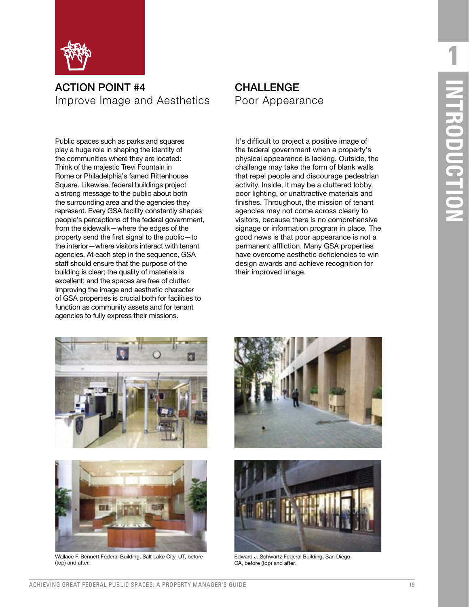

ACTION POINT #4 Improve Image and Aesthetics

Public spaces such as parks and squares play a huge role in shaping the identity of the communities where they are located: Think of the majestic Trevi Fountain in Rome or Philadelphia's famed Rittenhouse Square. Likewise, federal buildings project a strong message to the public about both the surrounding area and the agencies they represent. Every GSA facility constantly shapes people's perceptions of the federal government, from the sidewalk—where the edges of the property send the first signal to the public—to the interior—where visitors interact with tenant agencies. At each step in the sequence, GSA staff should ensure that the purpose of the building is clear; the quality of materials is excellent; and the spaces are free of clutter. Improving the image and aesthetic character of GSA properties is crucial both for facilities to function as community assets and for tenant agencies to fully express their missions.

### CHALLENGE Poor Appearance

It's difficult to project a positive image of the federal government when a property's physical appearance is lacking. Outside, the challenge may take the form of blank walls that repel people and discourage pedestrian activity. Inside, it may be a cluttered lobby, poor lighting, or unattractive materials and finishes. Throughout, the mission of tenant agencies may not come across clearly to visitors, because there is no comprehensive signage or information program in place. The good news is that poor appearance is not a permanent affliction. Many GSA properties have overcome aesthetic deficiencies to win design awards and achieve recognition for their improved image.





Wallace F. Bennett Federal Building, Salt Lake City, UT, before (top) and after.





Edward J. Schwartz Federal Building, San Diego, CA, before (top) and after.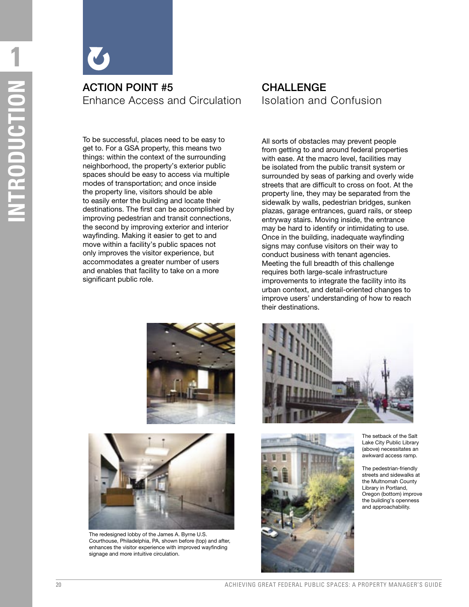# ACTION POINT #5 Enhance Access and Circulation

To be successful, places need to be easy to get to. For a GSA property, this means two things: within the context of the surrounding neighborhood, the property's exterior public spaces should be easy to access via multiple modes of transportation; and once inside the property line, visitors should be able to easily enter the building and locate their destinations. The first can be accomplished by improving pedestrian and transit connections, the second by improving exterior and interior wayfinding. Making it easier to get to and move within a facility's public spaces not only improves the visitor experience, but accommodates a greater number of users and enables that facility to take on a more significant public role.





The redesigned lobby of the James A. Byrne U.S. Courthouse, Philadelphia, PA, shown before (top) and after, enhances the visitor experience with improved wayfinding signage and more intuitive circulation.

### CHALLENGE Isolation and Confusion

All sorts of obstacles may prevent people from getting to and around federal properties with ease. At the macro level, facilities may be isolated from the public transit system or surrounded by seas of parking and overly wide streets that are difficult to cross on foot. At the property line, they may be separated from the sidewalk by walls, pedestrian bridges, sunken plazas, garage entrances, guard rails, or steep entryway stairs. Moving inside, the entrance may be hard to identify or intimidating to use. Once in the building, inadequate wayfinding signs may confuse visitors on their way to conduct business with tenant agencies. Meeting the full breadth of this challenge requires both large-scale infrastructure improvements to integrate the facility into its urban context, and detail-oriented changes to improve users' understanding of how to reach their destinations.





The setback of the Salt Lake City Public Library (above) necessitates an awkward access ramp.

The pedestrian-friendly streets and sidewalks at the Multnomah County Library in Portland, Oregon (bottom) improve the building's openness and approachability.